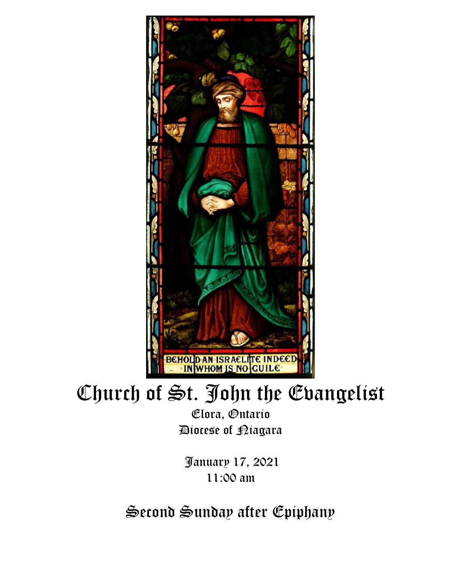

# Church of St. John the Evangelist

Elora, Ontario Diocese of Niagara

January 17, 2021 11:00 am

Second Sunday after Epiphany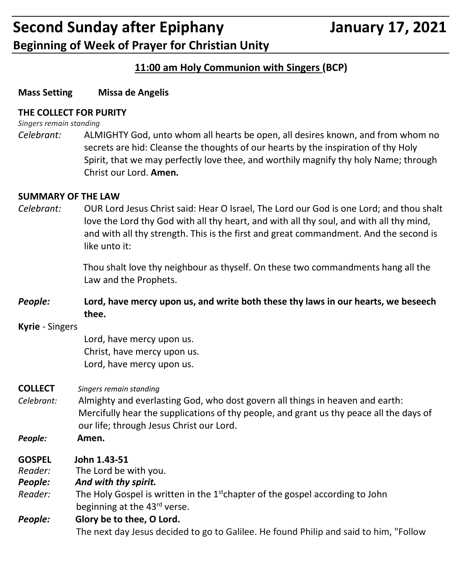#### **11:00 am Holy Communion with Singers (BCP)**

#### **Mass Setting Missa de Angelis**

#### **THE COLLECT FOR PURITY**

*Singers remain standing*

*Celebrant:* ALMIGHTY God, unto whom all hearts be open, all desires known, and from whom no secrets are hid: Cleanse the thoughts of our hearts by the inspiration of thy Holy Spirit, that we may perfectly love thee, and worthily magnify thy holy Name; through Christ our Lord. **Amen.**

#### **SUMMARY OF THE LAW**

*Celebrant:* OUR Lord Jesus Christ said: Hear O Israel, The Lord our God is one Lord; and thou shalt love the Lord thy God with all thy heart, and with all thy soul, and with all thy mind, and with all thy strength. This is the first and great commandment. And the second is like unto it:

> Thou shalt love thy neighbour as thyself. On these two commandments hang all the Law and the Prophets.

- *People:* **Lord, have mercy upon us, and write both these thy laws in our hearts, we beseech thee.**
- **Kyrie** Singers

Lord, have mercy upon us. Christ, have mercy upon us. Lord, have mercy upon us.

- **COLLECT** *Singers remain standing*
- *Celebrant:* Almighty and everlasting God, who dost govern all things in heaven and earth: Mercifully hear the supplications of thy people, and grant us thy peace all the days of our life; through Jesus Christ our Lord.
- *People:* **Amen.**
- **GOSPEL John 1.43-51**
- *Reader:*The Lord be with you.
- *People: And with thy spirit.*
- Reader: The Holy Gospel is written in the 1<sup>st</sup>chapter of the gospel according to John beginning at the 43<sup>rd</sup> verse.

### *People:* **Glory be to thee, O Lord.** The next day Jesus decided to go to Galilee. He found Philip and said to him, "Follow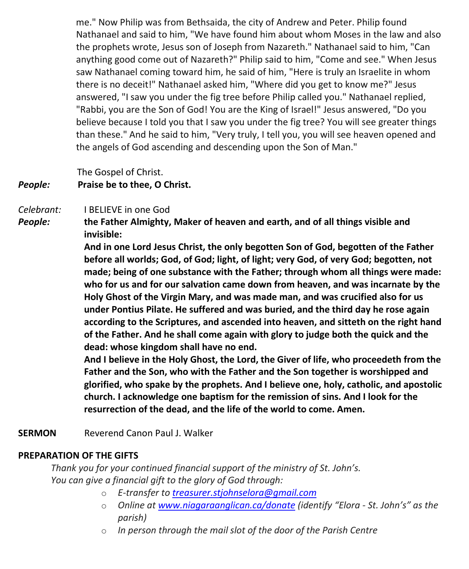me." Now Philip was from Bethsaida, the city of Andrew and Peter. Philip found Nathanael and said to him, "We have found him about whom Moses in the law and also the prophets wrote, Jesus son of Joseph from Nazareth." Nathanael said to him, "Can anything good come out of Nazareth?" Philip said to him, "Come and see." When Jesus saw Nathanael coming toward him, he said of him, "Here is truly an Israelite in whom there is no deceit!" Nathanael asked him, "Where did you get to know me?" Jesus answered, "I saw you under the fig tree before Philip called you." Nathanael replied, "Rabbi, you are the Son of God! You are the King of Israel!" Jesus answered, "Do you believe because I told you that I saw you under the fig tree? You will see greater things than these." And he said to him, "Very truly, I tell you, you will see heaven opened and the angels of God ascending and descending upon the Son of Man."

The Gospel of Christ.

#### *People:* **Praise be to thee, O Christ.**

#### *Celebrant:* I BELIEVE in one God

*People:* **the Father Almighty, Maker of heaven and earth, and of all things visible and invisible:**

> **And in one Lord Jesus Christ, the only begotten Son of God, begotten of the Father before all worlds; God, of God; light, of light; very God, of very God; begotten, not made; being of one substance with the Father; through whom all things were made: who for us and for our salvation came down from heaven, and was incarnate by the Holy Ghost of the Virgin Mary, and was made man, and was crucified also for us under Pontius Pilate. He suffered and was buried, and the third day he rose again according to the Scriptures, and ascended into heaven, and sitteth on the right hand of the Father. And he shall come again with glory to judge both the quick and the dead: whose kingdom shall have no end.**

> **And I believe in the Holy Ghost, the Lord, the Giver of life, who proceedeth from the Father and the Son, who with the Father and the Son together is worshipped and glorified, who spake by the prophets. And I believe one, holy, catholic, and apostolic church. I acknowledge one baptism for the remission of sins. And I look for the resurrection of the dead, and the life of the world to come. Amen.**

**SERMON** Reverend Canon Paul J. Walker

#### **PREPARATION OF THE GIFTS**

*Thank you for your continued financial support of the ministry of St. John's. You can give a financial gift to the glory of God through:*

- o *E-transfer to [treasurer.stjohnselora@gmail.com](mailto:treasurer.stjohnselora@gmail.com)*
- o *Online at [www.niagaraanglican.ca/donate](http://www.niagaraanglican.ca/donate) (identify "Elora - St. John's" as the parish)*
- o *In person through the mail slot of the door of the Parish Centre*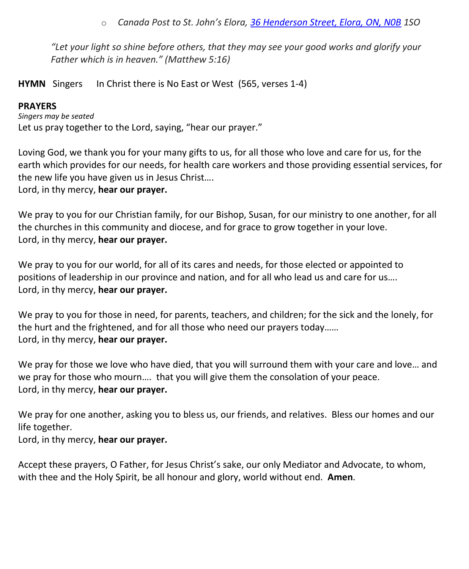o *Canada Post to St. John's Elora, [36 Henderson Street, Elora, ON, N0B](https://www.google.com/maps/search/36+Henderson+Street,+Elora,+ON,+N0B?entry=gmail&source=g) 1SO*

*"Let your light so shine before others, that they may see your good works and glorify your Father which is in heaven." (Matthew 5:16)*

**HYMN** Singers In Christ there is No East or West (565, verses 1-4)

#### **PRAYERS**

*Singers may be seated* Let us pray together to the Lord, saying, "hear our prayer."

Loving God, we thank you for your many gifts to us, for all those who love and care for us, for the earth which provides for our needs, for health care workers and those providing essential services, for the new life you have given us in Jesus Christ….

Lord, in thy mercy, **hear our prayer.**

We pray to you for our Christian family, for our Bishop, Susan, for our ministry to one another, for all the churches in this community and diocese, and for grace to grow together in your love. Lord, in thy mercy, **hear our prayer.**

We pray to you for our world, for all of its cares and needs, for those elected or appointed to positions of leadership in our province and nation, and for all who lead us and care for us…. Lord, in thy mercy, **hear our prayer.**

We pray to you for those in need, for parents, teachers, and children; for the sick and the lonely, for the hurt and the frightened, and for all those who need our prayers today…… Lord, in thy mercy, **hear our prayer.**

We pray for those we love who have died, that you will surround them with your care and love… and we pray for those who mourn…. that you will give them the consolation of your peace. Lord, in thy mercy, **hear our prayer.**

We pray for one another, asking you to bless us, our friends, and relatives. Bless our homes and our life together.

Lord, in thy mercy, **hear our prayer.**

Accept these prayers, O Father, for Jesus Christ's sake, our only Mediator and Advocate, to whom, with thee and the Holy Spirit, be all honour and glory, world without end. **Amen**.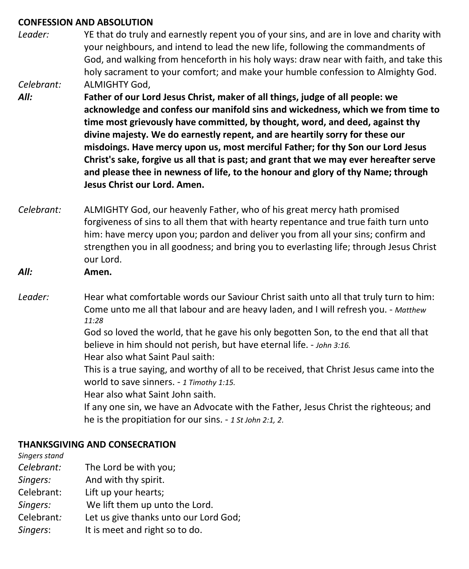#### **CONFESSION AND ABSOLUTION**

- *Leader:* YE that do truly and earnestly repent you of your sins, and are in love and charity with your neighbours, and intend to lead the new life, following the commandments of God, and walking from henceforth in his holy ways: draw near with faith, and take this holy sacrament to your comfort; and make your humble confession to Almighty God. *Celebrant:* ALMIGHTY God,
- *All:* **Father of our Lord Jesus Christ, maker of all things, judge of all people: we acknowledge and confess our manifold sins and wickedness, which we from time to time most grievously have committed, by thought, word, and deed, against thy divine majesty. We do earnestly repent, and are heartily sorry for these our misdoings. Have mercy upon us, most merciful Father; for thy Son our Lord Jesus Christ's sake, forgive us all that is past; and grant that we may ever hereafter serve and please thee in newness of life, to the honour and glory of thy Name; through Jesus Christ our Lord. Amen.**
- *Celebrant:* ALMIGHTY God, our heavenly Father, who of his great mercy hath promised forgiveness of sins to all them that with hearty repentance and true faith turn unto him: have mercy upon you; pardon and deliver you from all your sins; confirm and strengthen you in all goodness; and bring you to everlasting life; through Jesus Christ our Lord.
- *All:* **Amen.**
- *Leader:* Hear what comfortable words our Saviour Christ saith unto all that truly turn to him: Come unto me all that labour and are heavy laden, and I will refresh you. - *Matthew 11:28*

God so loved the world, that he gave his only begotten Son, to the end that all that believe in him should not perish, but have eternal life. - *John 3:16.*

Hear also what Saint Paul saith:

This is a true saying, and worthy of all to be received, that Christ Jesus came into the world to save sinners. - *1 Timothy 1:15.*

Hear also what Saint John saith.

If any one sin, we have an Advocate with the Father, Jesus Christ the righteous; and he is the propitiation for our sins. - *1 St John 2:1, 2*.

#### **THANKSGIVING AND CONSECRATION**

*Singers stand Celebrant:* The Lord be with you;

- *Singers:* And with thy spirit.
- Celebrant: Lift up your hearts;
- *Singers:* We lift them up unto the Lord.
- Celebrant*:* Let us give thanks unto our Lord God;
- *Singers*: It is meet and right so to do.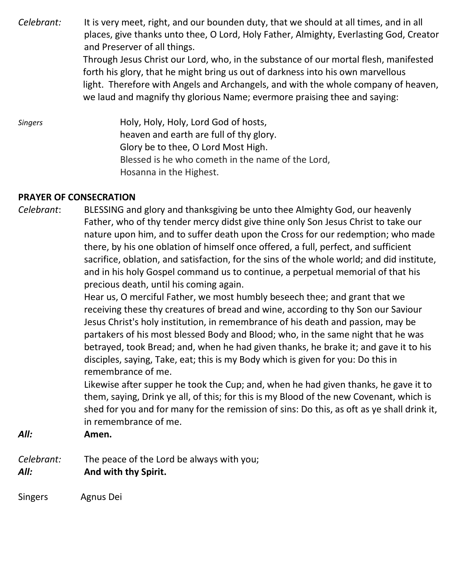*Celebrant:* It is very meet, right, and our bounden duty, that we should at all times, and in all places, give thanks unto thee, O Lord, Holy Father, Almighty, Everlasting God, Creator and Preserver of all things. Through Jesus Christ our Lord, who, in the substance of our mortal flesh, manifested forth his glory, that he might bring us out of darkness into his own marvellous light. Therefore with Angels and Archangels, and with the whole company of heaven, we laud and magnify thy glorious Name; evermore praising thee and saying:

*Singers* Holy, Holy, Holy, Lord God of hosts, heaven and earth are full of thy glory. Glory be to thee, O Lord Most High. Blessed is he who cometh in the name of the Lord, Hosanna in the Highest.

#### **PRAYER OF CONSECRATION**

*Celebrant*: BLESSING and glory and thanksgiving be unto thee Almighty God, our heavenly Father, who of thy tender mercy didst give thine only Son Jesus Christ to take our nature upon him, and to suffer death upon the Cross for our redemption; who made there, by his one oblation of himself once offered, a full, perfect, and sufficient sacrifice, oblation, and satisfaction, for the sins of the whole world; and did institute, and in his holy Gospel command us to continue, a perpetual memorial of that his precious death, until his coming again.

> Hear us, O merciful Father, we most humbly beseech thee; and grant that we receiving these thy creatures of bread and wine, according to thy Son our Saviour Jesus Christ's holy institution, in remembrance of his death and passion, may be partakers of his most blessed Body and Blood; who, in the same night that he was betrayed, took Bread; and, when he had given thanks, he brake it; and gave it to his disciples, saying, Take, eat; this is my Body which is given for you: Do this in remembrance of me.

Likewise after supper he took the Cup; and, when he had given thanks, he gave it to them, saying, Drink ye all, of this; for this is my Blood of the new Covenant, which is shed for you and for many for the remission of sins: Do this, as oft as ye shall drink it, in remembrance of me.

*All:* **Amen.**

*Celebrant:* The peace of the Lord be always with you; *All:* **And with thy Spirit.**

Singers Agnus Dei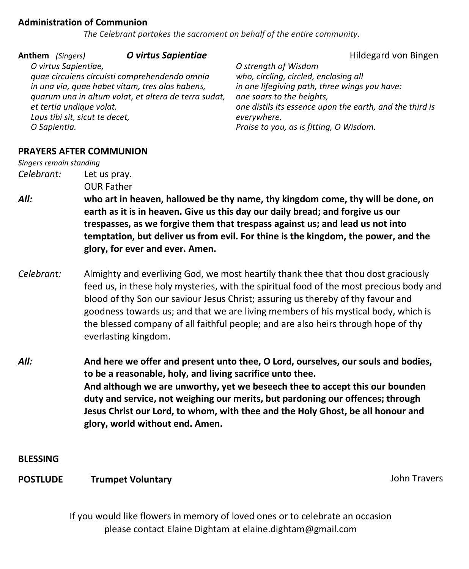#### **Administration of Communion**

 *The Celebrant partakes the sacrament on behalf of the entire community.*

| Anthem (Singers)<br>O virtus Sapientiae,<br>et tertia undique volat.<br>Laus tibi sit, sicut te decet,<br>O Sapientia. | O virtus Sapientiae<br>quae circuiens circuisti comprehendendo omnia<br>in una via, quae habet vitam, tres alas habens,<br>quarum una in altum volat, et altera de terra sudat,                                                                                                                                                                                                                                                                                       | Hildegard von Bingen<br>O strength of Wisdom<br>who, circling, circled, enclosing all<br>in one lifegiving path, three wings you have:<br>one soars to the heights,<br>one distils its essence upon the earth, and the third is<br>everywhere.<br>Praise to you, as is fitting, O Wisdom. |  |
|------------------------------------------------------------------------------------------------------------------------|-----------------------------------------------------------------------------------------------------------------------------------------------------------------------------------------------------------------------------------------------------------------------------------------------------------------------------------------------------------------------------------------------------------------------------------------------------------------------|-------------------------------------------------------------------------------------------------------------------------------------------------------------------------------------------------------------------------------------------------------------------------------------------|--|
| Singers remain standing                                                                                                | <b>PRAYERS AFTER COMMUNION</b>                                                                                                                                                                                                                                                                                                                                                                                                                                        |                                                                                                                                                                                                                                                                                           |  |
| Celebrant:                                                                                                             | Let us pray.<br><b>OUR Father</b>                                                                                                                                                                                                                                                                                                                                                                                                                                     |                                                                                                                                                                                                                                                                                           |  |
| All:                                                                                                                   | who art in heaven, hallowed be thy name, thy kingdom come, thy will be done, on<br>earth as it is in heaven. Give us this day our daily bread; and forgive us our<br>trespasses, as we forgive them that trespass against us; and lead us not into<br>temptation, but deliver us from evil. For thine is the kingdom, the power, and the<br>glory, for ever and ever. Amen.                                                                                           |                                                                                                                                                                                                                                                                                           |  |
| Celebrant:                                                                                                             | Almighty and everliving God, we most heartily thank thee that thou dost graciously<br>feed us, in these holy mysteries, with the spiritual food of the most precious body and<br>blood of thy Son our saviour Jesus Christ; assuring us thereby of thy favour and<br>goodness towards us; and that we are living members of his mystical body, which is<br>the blessed company of all faithful people; and are also heirs through hope of thy<br>everlasting kingdom. |                                                                                                                                                                                                                                                                                           |  |
| All:                                                                                                                   | And here we offer and present unto thee, O Lord, ourselves, our souls and bodies,<br>to be a reasonable, holy, and living sacrifice unto thee.<br>And although we are unworthy, yet we beseech thee to accept this our bounden<br>duty and service, not weighing our merits, but pardoning our offences; through<br>Jesus Christ our Lord, to whom, with thee and the Holy Ghost, be all honour and<br>glory, world without end. Amen.                                |                                                                                                                                                                                                                                                                                           |  |
| <b>BLESSING</b>                                                                                                        |                                                                                                                                                                                                                                                                                                                                                                                                                                                                       |                                                                                                                                                                                                                                                                                           |  |
| <b>POSTLUDE</b>                                                                                                        | <b>Trumpet Voluntary</b>                                                                                                                                                                                                                                                                                                                                                                                                                                              | <b>John Travers</b>                                                                                                                                                                                                                                                                       |  |
|                                                                                                                        |                                                                                                                                                                                                                                                                                                                                                                                                                                                                       |                                                                                                                                                                                                                                                                                           |  |

If you would like flowers in memory of loved ones or to celebrate an occasion please contact Elaine Dightam at elaine.dightam@gmail.com